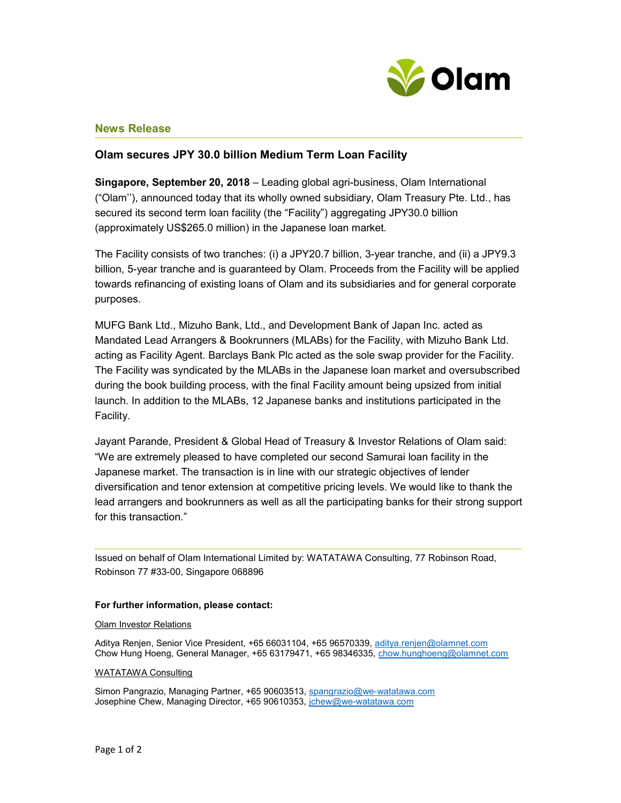

## News Release

# Olam secures JPY 30.0 billion Medium Term Loan Facility

Singapore, September 20, 2018 – Leading global agri-business, Olam International ("Olam''), announced today that its wholly owned subsidiary, Olam Treasury Pte. Ltd., has secured its second term loan facility (the "Facility") aggregating JPY30.0 billion (approximately US\$265.0 million) in the Japanese loan market.

The Facility consists of two tranches: (i) a JPY20.7 billion, 3-year tranche, and (ii) a JPY9.3 billion, 5-year tranche and is guaranteed by Olam. Proceeds from the Facility will be applied towards refinancing of existing loans of Olam and its subsidiaries and for general corporate purposes.

MUFG Bank Ltd., Mizuho Bank, Ltd., and Development Bank of Japan Inc. acted as Mandated Lead Arrangers & Bookrunners (MLABs) for the Facility, with Mizuho Bank Ltd. acting as Facility Agent. Barclays Bank Plc acted as the sole swap provider for the Facility. The Facility was syndicated by the MLABs in the Japanese loan market and oversubscribed during the book building process, with the final Facility amount being upsized from initial launch. In addition to the MLABs, 12 Japanese banks and institutions participated in the Facility.

Jayant Parande, President & Global Head of Treasury & Investor Relations of Olam said: "We are extremely pleased to have completed our second Samurai loan facility in the Japanese market. The transaction is in line with our strategic objectives of lender diversification and tenor extension at competitive pricing levels. We would like to thank the lead arrangers and bookrunners as well as all the participating banks for their strong support for this transaction."

Issued on behalf of Olam International Limited by: WATATAWA Consulting, 77 Robinson Road, Robinson 77 #33-00, Singapore 068896

### For further information, please contact:

### Olam Investor Relations

Aditya Renjen, Senior Vice President, +65 66031104, +65 96570339, aditya.renjen@olamnet.com Chow Hung Hoeng, General Manager, +65 63179471, +65 98346335, chow.hunghoeng@olamnet.com

### WATATAWA Consulting

Simon Pangrazio, Managing Partner, +65 90603513, spangrazio@we-watatawa.com Josephine Chew, Managing Director, +65 90610353, jchew@we-watatawa.com